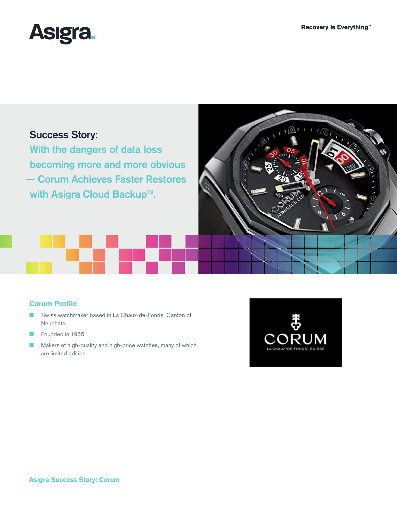্রা



# Success Story:

With the dangers of data loss becoming more and more obvious — Corum Achieves Faster Restores with Asigra Cloud Backup™.



- Swiss watchmaker based in La Chaux-de-Fonds, Canton of Neuchâtel
- Founded in 1955
- Makers of high-quality and high-price watches, many of which are limited edition



ல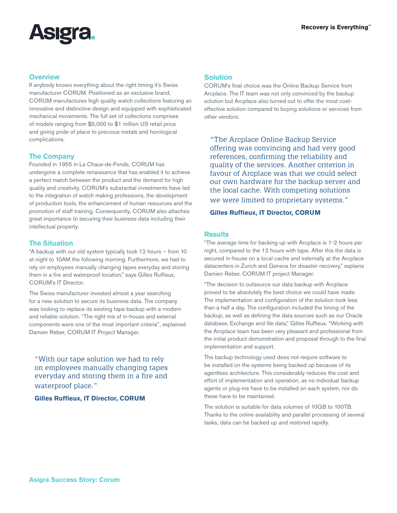

### **Overview**

If anybody knows everything about the right timing it's Swiss manufacturer CORUM. Positioned as an exclusive brand, CORUM manufactures high quality watch collections featuring an innovative and distinctive design and equipped with sophisticated mechanical movements. The full set of collections comprises of models ranging from \$5,000 to \$1 million US retail price and giving pride of place to precious metals and horological complications.

# **The Company**

Founded in 1955 in La Chaux-de-Fonds, CORUM has undergone a complete renaissance that has enabled it to achieve a perfect match between the product and the demand for high quality and creativity. CORUM's substantial investments have led to the integration of watch making professions, the development of production tools, the enhancement of human resources and the promotion of staff training. Consequently, CORUM also attaches great importance to securing their business data including their intellectual property.

# **The Situation**

"A backup with our old system typically took 12 hours – from 10 at night to 10AM the following morning. Furthermore, we had to rely on employees manually changing tapes everyday and storing them in a fire and waterproof location," says Gilles Ruffieux, CORUM's IT Director.

The Swiss manufacturer invested almost a year searching for a new solution to secure its business data. The company was looking to replace its existing tape backup with a modern and reliable solution. "The right mix of in-house and external components were one of the most important criteria", explained Damien Reber, CORUM IT Project Manager.

"With our tape solution we had to rely on employees manually changing tapes everyday and storing them in a fire and waterproof place."

#### **Gilles Ruffieux, IT Director, CORUM**

# **Solution**

CORUM's final choice was the Online Backup Service from Arcplace. The IT team was not only convinced by the backup solution but Arcplace also turned out to offer the most costeffective solution compared to buying solutions or services from other vendors.

"The Arcplace Online Backup Service offering was convincing and had very good references, confirming the reliability and quality of the services. Another criterion in favour of Arcplace was that we could select our own hardware for the backup server and the local cache. With competing solutions we were limited to proprietary systems."

#### **Gilles Ruffieux, IT Director, CORUM**

#### **Results**

"The average time for backing up with Arcplace is 1-2 hours per night, compared to the 12 hours with tape. After this the data is secured in-house on a local cache and externally at the Arcplace datacenters in Zurich and Geneva for disaster recovery," explains Damien Reber, CORUM IT project Manager.

"The decision to outsource our data backup with Arcplace proved to be absolutely the best choice we could have made. The implementation and configuration of the solution took less than a half a day. The configuration included the timing of the backup, as well as defining the data sources such as our Oracle database, Exchange and file data," Gilles Ruffieux. "Working with the Arcplace team has been very pleasant and professional from the initial product demonstration and proposal through to the final implementation and support.

The backup technology used does not require software to be installed on the systems being backed up because of its agentless architecture. This considerably reduces the cost and effort of implementation and operation, as no individual backup agents or plug-ins have to be installed on each system, nor do these have to be maintained.

The solution is suitable for data volumes of 10GB to 100TB. Thanks to the online availability and parallel processing of several tasks, data can be backed up and restored rapidly.